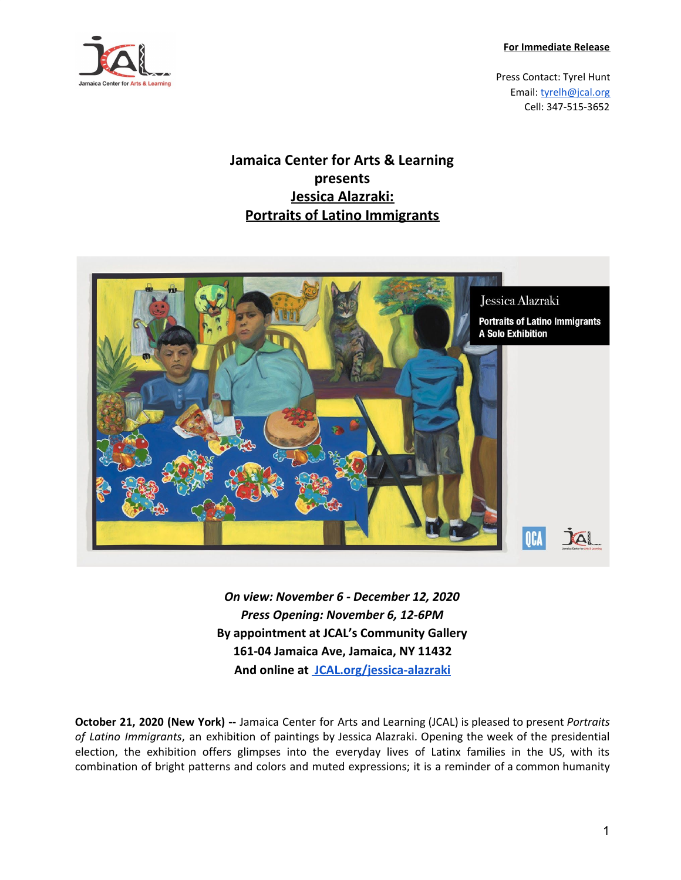**For Immediate Release**



Press Contact: Tyrel Hunt Email: [tyrelh@jcal.org](mailto:tyrelh@jcal.org) Cell: 347-515-3652

## **Jamaica Center for Arts & Learning presents Jessica Alazraki: Portraits of Latino Immigrants**



*On view: November 6 - December 12, 2020 Press Opening: November 6, 12-6PM* **By appointment at JCAL's Community Gallery 161-04 Jamaica Ave, Jamaica, NY 11432 And online at JCAL.org/jessica-alazraki**

**October 21, 2020 (New York) --** Jamaica Center for Arts and Learning (JCAL) is pleased to present *Portraits of Latino Immigrants*, an exhibition of paintings by Jessica Alazraki. Opening the week of the presidential election, the exhibition offers glimpses into the everyday lives of Latinx families in the US, with its combination of bright patterns and colors and muted expressions; it is a reminder of a common humanity